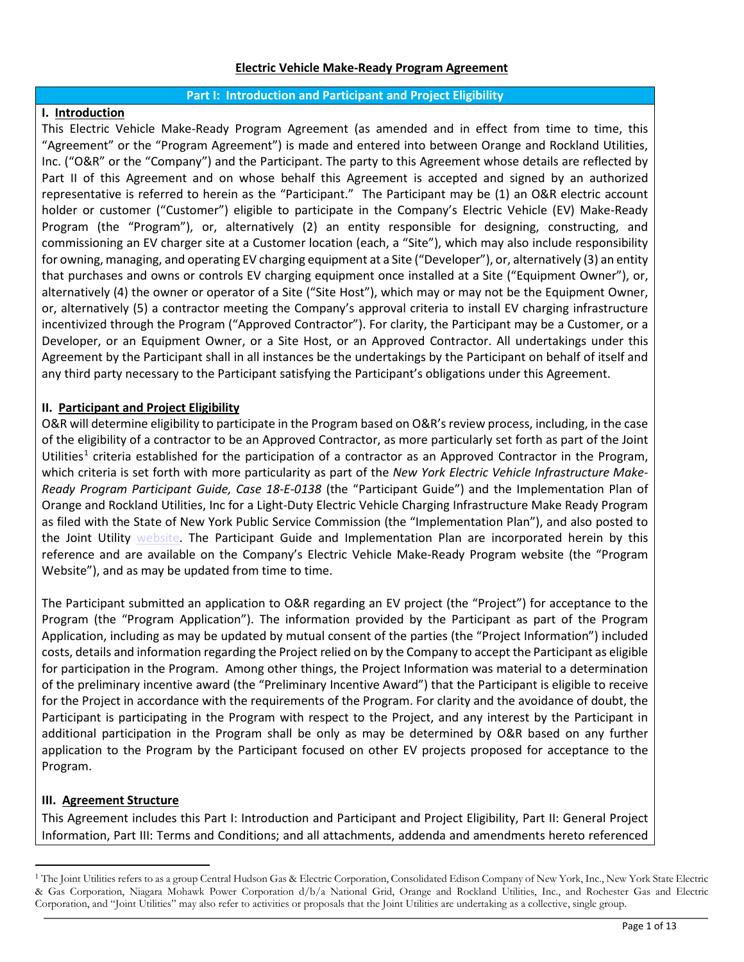#### **Part I: Introduction and Participant and Project Eligibility**

## **I. Introduction**

This Electric Vehicle Make-Ready Program Agreement (as amended and in effect from time to time, this "Agreement" or the "Program Agreement") is made and entered into between Orange and Rockland Utilities, Inc. ("O&R" or the "Company") and the Participant. The party to this Agreement whose details are reflected by Part II of this Agreement and on whose behalf this Agreement is accepted and signed by an authorized representative is referred to herein as the "Participant." The Participant may be (1) an O&R electric account holder or customer ("Customer") eligible to participate in the Company's Electric Vehicle (EV) Make-Ready Program (the "Program"), or, alternatively (2) an entity responsible for designing, constructing, and commissioning an EV charger site at a Customer location (each, a "Site"), which may also include responsibility for owning, managing, and operating EV charging equipment at a Site ("Developer"), or, alternatively (3) an entity that purchases and owns or controls EV charging equipment once installed at a Site ("Equipment Owner"), or, alternatively (4) the owner or operator of a Site ("Site Host"), which may or may not be the Equipment Owner, or, alternatively (5) a contractor meeting the Company's approval criteria to install EV charging infrastructure incentivized through the Program ("Approved Contractor"). For clarity, the Participant may be a Customer, or a Developer, or an Equipment Owner, or a Site Host, or an Approved Contractor. All undertakings under this Agreement by the Participant shall in all instances be the undertakings by the Participant on behalf of itself and any third party necessary to the Participant satisfying the Participant's obligations under this Agreement.

## **II. Participant and Project Eligibility**

O&R will determine eligibility to participate in the Program based on O&R's review process, including, in the case of the eligibility of a contractor to be an Approved Contractor, as more particularly set forth as part of the Joint Utilities<sup>[1](#page-0-0)</sup> criteria established for the participation of a contractor as an Approved Contractor in the Program, which criteria is set forth with more particularity as part of the *New York Electric Vehicle Infrastructure Make-Ready Program Participant Guide, Case 18-E-0138* (the "Participant Guide") and the Implementation Plan of Orange and Rockland Utilities, Inc for a Light-Duty Electric Vehicle Charging Infrastructure Make Ready Program as filed with the State of New York Public Service Commission (the "Implementation Plan"), and also posted to the Joint Utility [website.](https://junystg.prod.acquia-sites.com/ev/make-ready/approved-contractors) The Participant Guide and Implementation Plan are incorporated herein by this reference and are available on the Company's Electric Vehicle Make-Ready Program website (the "Program Website"), and as may be updated from time to time.

The Participant submitted an application to O&R regarding an EV project (the "Project") for acceptance to the Program (the "Program Application"). The information provided by the Participant as part of the Program Application, including as may be updated by mutual consent of the parties (the "Project Information") included costs, details and information regarding the Project relied on by the Company to accept the Participant as eligible for participation in the Program. Among other things, the Project Information was material to a determination of the preliminary incentive award (the "Preliminary Incentive Award") that the Participant is eligible to receive for the Project in accordance with the requirements of the Program. For clarity and the avoidance of doubt, the Participant is participating in the Program with respect to the Project, and any interest by the Participant in additional participation in the Program shall be only as may be determined by O&R based on any further application to the Program by the Participant focused on other EV projects proposed for acceptance to the Program.

### **III. Agreement Structure**

This Agreement includes this Part I: Introduction and Participant and Project Eligibility, Part II: General Project Information, Part III: Terms and Conditions; and all attachments, addenda and amendments hereto referenced

<span id="page-0-0"></span><sup>&</sup>lt;sup>1</sup> The Joint Utilities refers to as a group Central Hudson Gas & Electric Corporation, Consolidated Edison Company of New York, Inc., New York State Electric & Gas Corporation, Niagara Mohawk Power Corporation d/b/a National Grid, Orange and Rockland Utilities, Inc., and Rochester Gas and Electric Corporation, and "Joint Utilities" may also refer to activities or proposals that the Joint Utilities are undertaking as a collective, single group.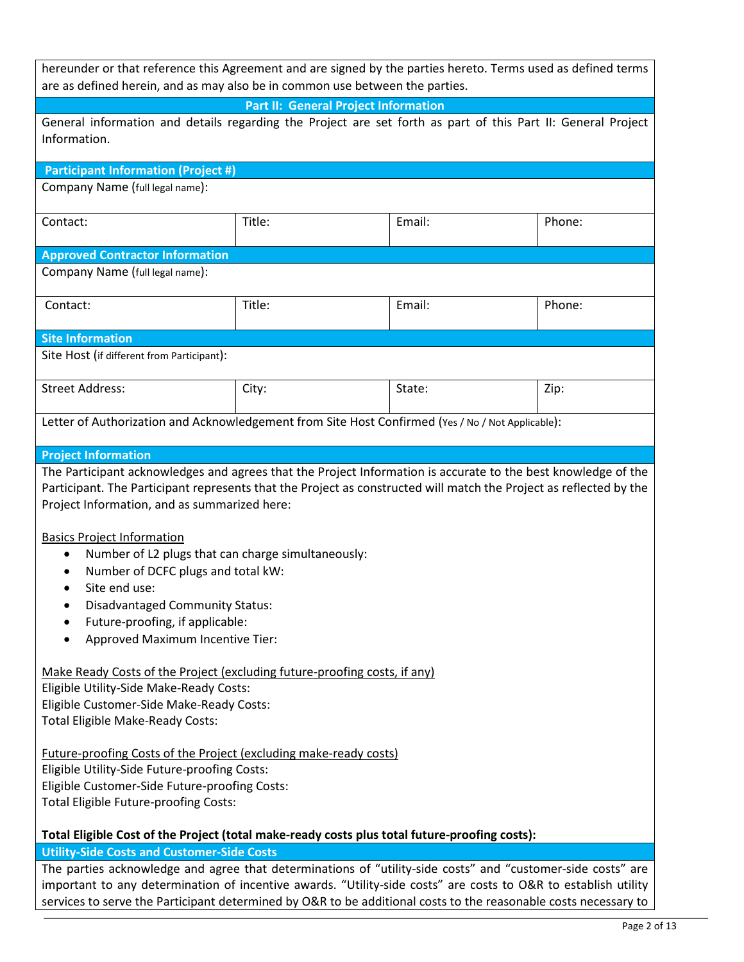| hereunder or that reference this Agreement and are signed by the parties hereto. Terms used as defined terms |  |  |  |
|--------------------------------------------------------------------------------------------------------------|--|--|--|
| are as defined herein, and as may also be in common use between the parties.                                 |  |  |  |
| Part II: General Project Information                                                                         |  |  |  |

| General information and details regarding the Project are set forth as part of this Part II: General Project<br>Information.                                                                                                                                                                                                                                                                                                                                                                                                                                |        |        |        |  |
|-------------------------------------------------------------------------------------------------------------------------------------------------------------------------------------------------------------------------------------------------------------------------------------------------------------------------------------------------------------------------------------------------------------------------------------------------------------------------------------------------------------------------------------------------------------|--------|--------|--------|--|
| <b>Participant Information (Project #)</b>                                                                                                                                                                                                                                                                                                                                                                                                                                                                                                                  |        |        |        |  |
| Company Name (full legal name):                                                                                                                                                                                                                                                                                                                                                                                                                                                                                                                             |        |        |        |  |
| Contact:                                                                                                                                                                                                                                                                                                                                                                                                                                                                                                                                                    | Title: | Email: | Phone: |  |
| <b>Approved Contractor Information</b>                                                                                                                                                                                                                                                                                                                                                                                                                                                                                                                      |        |        |        |  |
| Company Name (full legal name):                                                                                                                                                                                                                                                                                                                                                                                                                                                                                                                             |        |        |        |  |
| Contact:                                                                                                                                                                                                                                                                                                                                                                                                                                                                                                                                                    | Title: | Email: | Phone: |  |
| <b>Site Information</b>                                                                                                                                                                                                                                                                                                                                                                                                                                                                                                                                     |        |        |        |  |
| Site Host (if different from Participant):                                                                                                                                                                                                                                                                                                                                                                                                                                                                                                                  |        |        |        |  |
| <b>Street Address:</b>                                                                                                                                                                                                                                                                                                                                                                                                                                                                                                                                      | City:  | State: | Zip:   |  |
| Letter of Authorization and Acknowledgement from Site Host Confirmed (Yes / No / Not Applicable):                                                                                                                                                                                                                                                                                                                                                                                                                                                           |        |        |        |  |
| <b>Project Information</b>                                                                                                                                                                                                                                                                                                                                                                                                                                                                                                                                  |        |        |        |  |
| The Participant acknowledges and agrees that the Project Information is accurate to the best knowledge of the<br>Participant. The Participant represents that the Project as constructed will match the Project as reflected by the<br>Project Information, and as summarized here:<br><b>Basics Project Information</b><br>Number of L2 plugs that can charge simultaneously:<br>٠<br>Number of DCFC plugs and total kW:<br>Site end use:<br><b>Disadvantaged Community Status:</b><br>Future-proofing, if applicable:<br>Approved Maximum Incentive Tier: |        |        |        |  |
| Make Ready Costs of the Project (excluding future-proofing costs, if any)<br>Eligible Utility-Side Make-Ready Costs:<br>Eligible Customer-Side Make-Ready Costs:<br><b>Total Eligible Make-Ready Costs:</b>                                                                                                                                                                                                                                                                                                                                                 |        |        |        |  |
| Future-proofing Costs of the Project (excluding make-ready costs)<br>Eligible Utility-Side Future-proofing Costs:<br>Eligible Customer-Side Future-proofing Costs:<br>Total Eligible Future-proofing Costs:                                                                                                                                                                                                                                                                                                                                                 |        |        |        |  |
| Total Eligible Cost of the Project (total make-ready costs plus total future-proofing costs):                                                                                                                                                                                                                                                                                                                                                                                                                                                               |        |        |        |  |
| <b>Utility-Side Costs and Customer-Side Costs</b>                                                                                                                                                                                                                                                                                                                                                                                                                                                                                                           |        |        |        |  |

The parties acknowledge and agree that determinations of "utility-side costs" and "customer-side costs" are important to any determination of incentive awards. "Utility-side costs" are costs to O&R to establish utility services to serve the Participant determined by O&R to be additional costs to the reasonable costs necessary to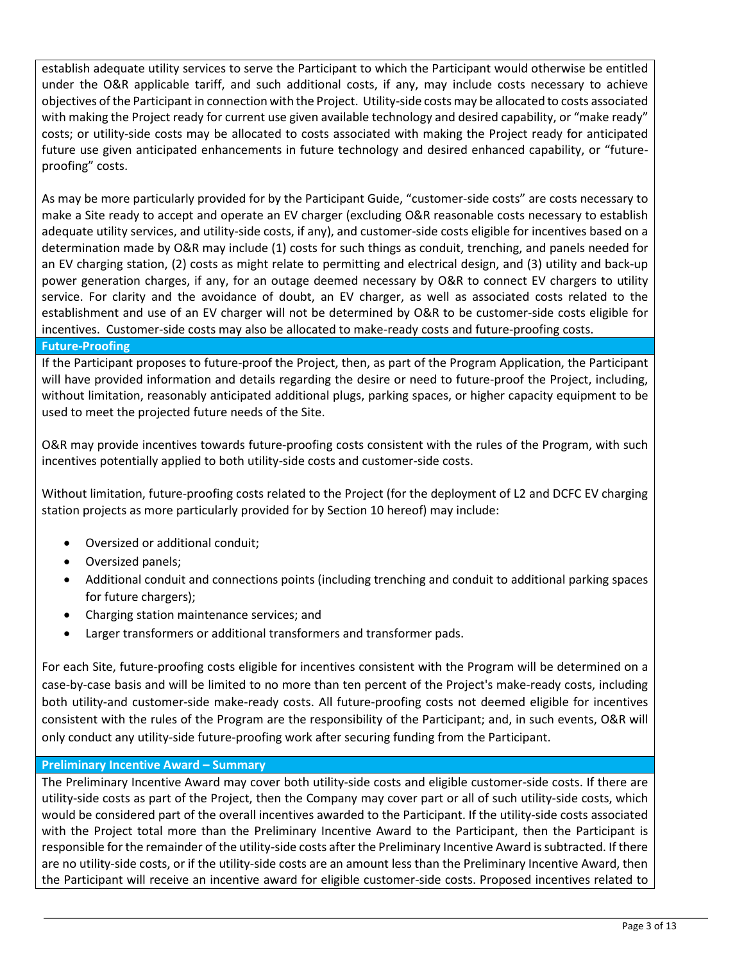establish adequate utility services to serve the Participant to which the Participant would otherwise be entitled under the O&R applicable tariff, and such additional costs, if any, may include costs necessary to achieve objectives of the Participant in connection with the Project. Utility-side costs may be allocated to costs associated with making the Project ready for current use given available technology and desired capability, or "make ready" costs; or utility-side costs may be allocated to costs associated with making the Project ready for anticipated future use given anticipated enhancements in future technology and desired enhanced capability, or "futureproofing" costs.

As may be more particularly provided for by the Participant Guide, "customer-side costs" are costs necessary to make a Site ready to accept and operate an EV charger (excluding O&R reasonable costs necessary to establish adequate utility services, and utility-side costs, if any), and customer-side costs eligible for incentives based on a determination made by O&R may include (1) costs for such things as conduit, trenching, and panels needed for an EV charging station, (2) costs as might relate to permitting and electrical design, and (3) utility and back-up power generation charges, if any, for an outage deemed necessary by O&R to connect EV chargers to utility service. For clarity and the avoidance of doubt, an EV charger, as well as associated costs related to the establishment and use of an EV charger will not be determined by O&R to be customer-side costs eligible for incentives. Customer-side costs may also be allocated to make-ready costs and future-proofing costs.

**Future-Proofing** 

If the Participant proposes to future-proof the Project, then, as part of the Program Application, the Participant will have provided information and details regarding the desire or need to future-proof the Project, including, without limitation, reasonably anticipated additional plugs, parking spaces, or higher capacity equipment to be used to meet the projected future needs of the Site.

O&R may provide incentives towards future-proofing costs consistent with the rules of the Program, with such incentives potentially applied to both utility-side costs and customer-side costs.

Without limitation, future-proofing costs related to the Project (for the deployment of L2 and DCFC EV charging station projects as more particularly provided for by Section 10 hereof) may include:

- Oversized or additional conduit;
- Oversized panels;
- Additional conduit and connections points (including trenching and conduit to additional parking spaces for future chargers);
- Charging station maintenance services; and
- Larger transformers or additional transformers and transformer pads.

For each Site, future-proofing costs eligible for incentives consistent with the Program will be determined on a case-by-case basis and will be limited to no more than ten percent of the Project's make-ready costs, including both utility-and customer-side make-ready costs. All future-proofing costs not deemed eligible for incentives consistent with the rules of the Program are the responsibility of the Participant; and, in such events, O&R will only conduct any utility-side future-proofing work after securing funding from the Participant.

### **Preliminary Incentive Award – Summary**

The Preliminary Incentive Award may cover both utility-side costs and eligible customer-side costs. If there are utility-side costs as part of the Project, then the Company may cover part or all of such utility-side costs, which would be considered part of the overall incentives awarded to the Participant. If the utility-side costs associated with the Project total more than the Preliminary Incentive Award to the Participant, then the Participant is responsible for the remainder of the utility-side costs after the Preliminary Incentive Award is subtracted. If there are no utility-side costs, or if the utility-side costs are an amount less than the Preliminary Incentive Award, then the Participant will receive an incentive award for eligible customer-side costs. Proposed incentives related to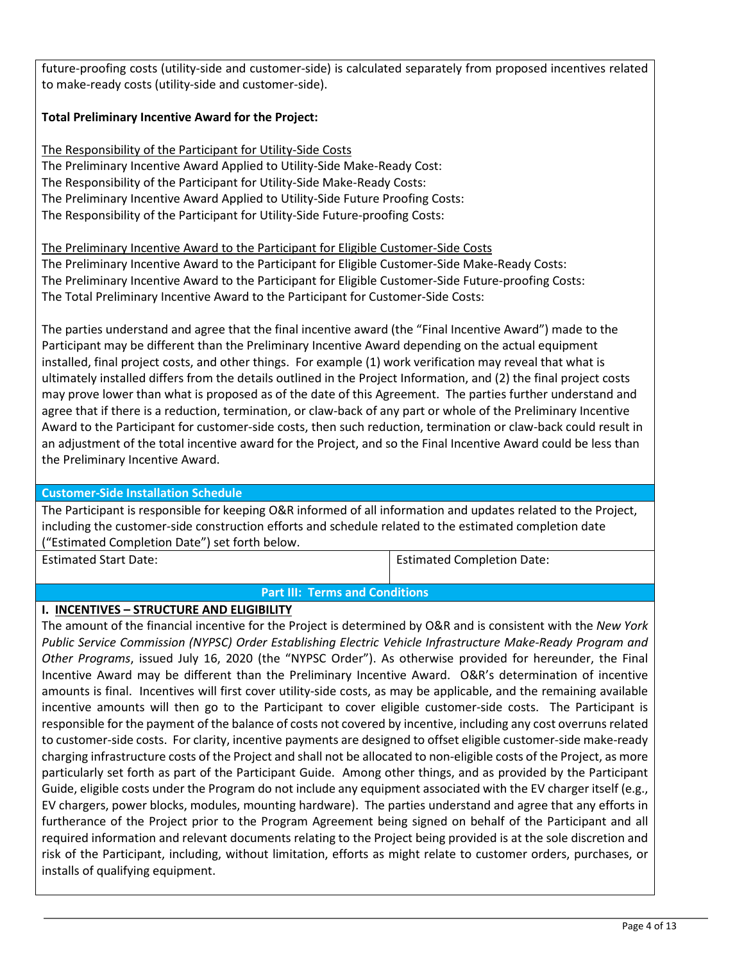future-proofing costs (utility-side and customer-side) is calculated separately from proposed incentives related to make-ready costs (utility-side and customer-side).

# **Total Preliminary Incentive Award for the Project:**

The Responsibility of the Participant for Utility-Side Costs The Preliminary Incentive Award Applied to Utility-Side Make-Ready Cost: The Responsibility of the Participant for Utility-Side Make-Ready Costs: The Preliminary Incentive Award Applied to Utility-Side Future Proofing Costs: The Responsibility of the Participant for Utility-Side Future-proofing Costs:

The Preliminary Incentive Award to the Participant for Eligible Customer-Side Costs

The Preliminary Incentive Award to the Participant for Eligible Customer-Side Make-Ready Costs: The Preliminary Incentive Award to the Participant for Eligible Customer-Side Future-proofing Costs: The Total Preliminary Incentive Award to the Participant for Customer-Side Costs:

The parties understand and agree that the final incentive award (the "Final Incentive Award") made to the Participant may be different than the Preliminary Incentive Award depending on the actual equipment installed, final project costs, and other things. For example (1) work verification may reveal that what is ultimately installed differs from the details outlined in the Project Information, and (2) the final project costs may prove lower than what is proposed as of the date of this Agreement. The parties further understand and agree that if there is a reduction, termination, or claw-back of any part or whole of the Preliminary Incentive Award to the Participant for customer-side costs, then such reduction, termination or claw-back could result in an adjustment of the total incentive award for the Project, and so the Final Incentive Award could be less than the Preliminary Incentive Award.

### **Customer-Side Installation Schedule**

The Participant is responsible for keeping O&R informed of all information and updates related to the Project, including the customer-side construction efforts and schedule related to the estimated completion date ("Estimated Completion Date") set forth below.

Estimated Start Date: Estimated Completion Date:

### **Part III: Terms and Conditions**

### **I. INCENTIVES – STRUCTURE AND ELIGIBILITY**

The amount of the financial incentive for the Project is determined by O&R and is consistent with the *New York Public Service Commission (NYPSC) Order Establishing Electric Vehicle Infrastructure Make-Ready Program and Other Programs*, issued July 16, 2020 (the "NYPSC Order"). As otherwise provided for hereunder, the Final Incentive Award may be different than the Preliminary Incentive Award. O&R's determination of incentive amounts is final. Incentives will first cover utility-side costs, as may be applicable, and the remaining available incentive amounts will then go to the Participant to cover eligible customer-side costs. The Participant is responsible for the payment of the balance of costs not covered by incentive, including any cost overruns related to customer-side costs. For clarity, incentive payments are designed to offset eligible customer-side make-ready charging infrastructure costs of the Project and shall not be allocated to non-eligible costs of the Project, as more particularly set forth as part of the Participant Guide. Among other things, and as provided by the Participant Guide, eligible costs under the Program do not include any equipment associated with the EV charger itself (e.g., EV chargers, power blocks, modules, mounting hardware). The parties understand and agree that any efforts in furtherance of the Project prior to the Program Agreement being signed on behalf of the Participant and all required information and relevant documents relating to the Project being provided is at the sole discretion and risk of the Participant, including, without limitation, efforts as might relate to customer orders, purchases, or installs of qualifying equipment.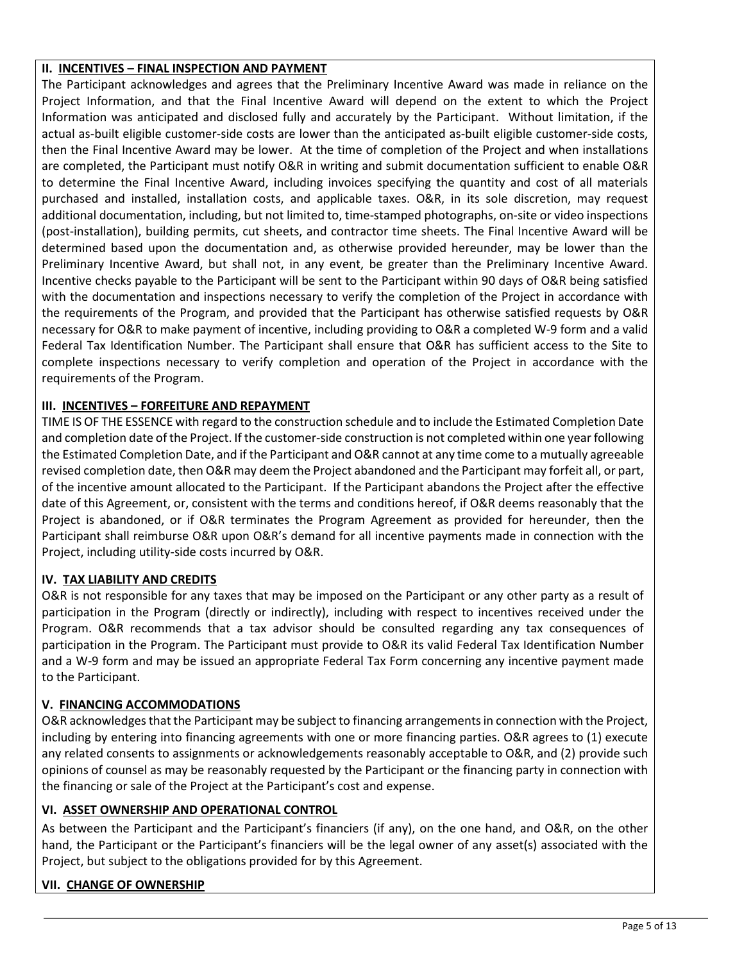## **II. INCENTIVES – FINAL INSPECTION AND PAYMENT**

The Participant acknowledges and agrees that the Preliminary Incentive Award was made in reliance on the Project Information, and that the Final Incentive Award will depend on the extent to which the Project Information was anticipated and disclosed fully and accurately by the Participant. Without limitation, if the actual as-built eligible customer-side costs are lower than the anticipated as-built eligible customer-side costs, then the Final Incentive Award may be lower. At the time of completion of the Project and when installations are completed, the Participant must notify O&R in writing and submit documentation sufficient to enable O&R to determine the Final Incentive Award, including invoices specifying the quantity and cost of all materials purchased and installed, installation costs, and applicable taxes. O&R, in its sole discretion, may request additional documentation, including, but not limited to, time-stamped photographs, on-site or video inspections (post-installation), building permits, cut sheets, and contractor time sheets. The Final Incentive Award will be determined based upon the documentation and, as otherwise provided hereunder, may be lower than the Preliminary Incentive Award, but shall not, in any event, be greater than the Preliminary Incentive Award. Incentive checks payable to the Participant will be sent to the Participant within 90 days of O&R being satisfied with the documentation and inspections necessary to verify the completion of the Project in accordance with the requirements of the Program, and provided that the Participant has otherwise satisfied requests by O&R necessary for O&R to make payment of incentive, including providing to O&R a completed W-9 form and a valid Federal Tax Identification Number. The Participant shall ensure that O&R has sufficient access to the Site to complete inspections necessary to verify completion and operation of the Project in accordance with the requirements of the Program.

## **III. INCENTIVES – FORFEITURE AND REPAYMENT**

TIME IS OF THE ESSENCE with regard to the construction schedule and to include the Estimated Completion Date and completion date of the Project. If the customer-side construction is not completed within one year following the Estimated Completion Date, and if the Participant and O&R cannot at any time come to a mutually agreeable revised completion date, then O&R may deem the Project abandoned and the Participant may forfeit all, or part, of the incentive amount allocated to the Participant. If the Participant abandons the Project after the effective date of this Agreement, or, consistent with the terms and conditions hereof, if O&R deems reasonably that the Project is abandoned, or if O&R terminates the Program Agreement as provided for hereunder, then the Participant shall reimburse O&R upon O&R's demand for all incentive payments made in connection with the Project, including utility-side costs incurred by O&R.

# **IV. TAX LIABILITY AND CREDITS**

O&R is not responsible for any taxes that may be imposed on the Participant or any other party as a result of participation in the Program (directly or indirectly), including with respect to incentives received under the Program. O&R recommends that a tax advisor should be consulted regarding any tax consequences of participation in the Program. The Participant must provide to O&R its valid Federal Tax Identification Number and a W-9 form and may be issued an appropriate Federal Tax Form concerning any incentive payment made to the Participant.

### **V. FINANCING ACCOMMODATIONS**

O&R acknowledges that the Participant may be subject to financing arrangements in connection with the Project, including by entering into financing agreements with one or more financing parties. O&R agrees to (1) execute any related consents to assignments or acknowledgements reasonably acceptable to O&R, and (2) provide such opinions of counsel as may be reasonably requested by the Participant or the financing party in connection with the financing or sale of the Project at the Participant's cost and expense.

# **VI. ASSET OWNERSHIP AND OPERATIONAL CONTROL**

As between the Participant and the Participant's financiers (if any), on the one hand, and O&R, on the other hand, the Participant or the Participant's financiers will be the legal owner of any asset(s) associated with the Project, but subject to the obligations provided for by this Agreement.

### **VII. CHANGE OF OWNERSHIP**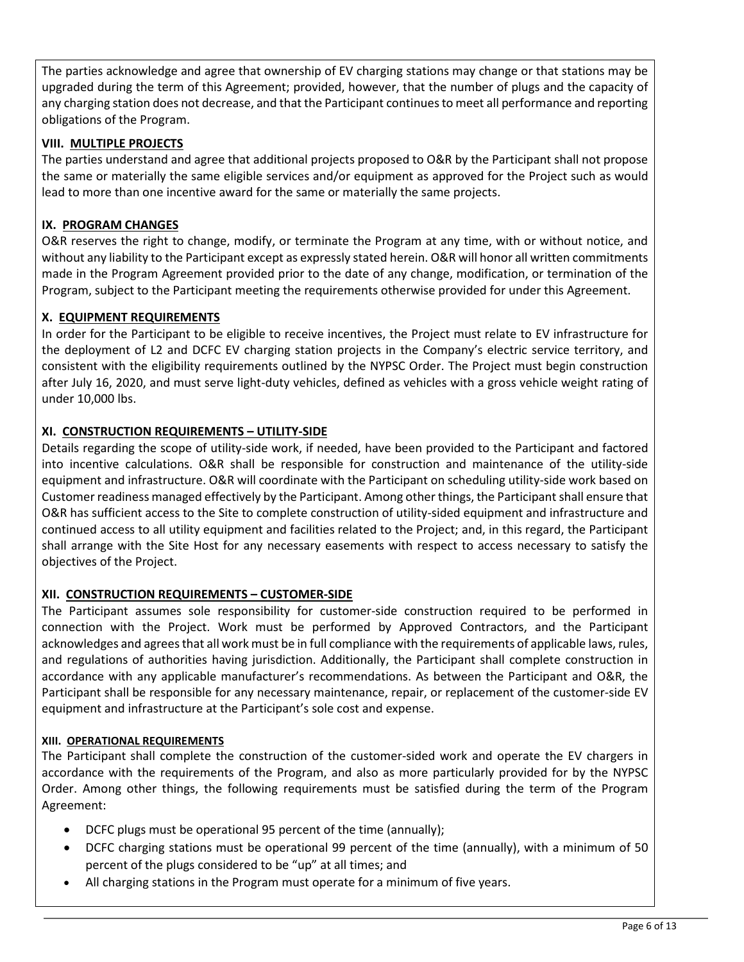The parties acknowledge and agree that ownership of EV charging stations may change or that stations may be upgraded during the term of this Agreement; provided, however, that the number of plugs and the capacity of any charging station does not decrease, and that the Participant continues to meet all performance and reporting obligations of the Program.

# **VIII. MULTIPLE PROJECTS**

The parties understand and agree that additional projects proposed to O&R by the Participant shall not propose the same or materially the same eligible services and/or equipment as approved for the Project such as would lead to more than one incentive award for the same or materially the same projects.

# **IX. PROGRAM CHANGES**

O&R reserves the right to change, modify, or terminate the Program at any time, with or without notice, and without any liability to the Participant except as expressly stated herein. O&R will honor all written commitments made in the Program Agreement provided prior to the date of any change, modification, or termination of the Program, subject to the Participant meeting the requirements otherwise provided for under this Agreement.

# **X. EQUIPMENT REQUIREMENTS**

In order for the Participant to be eligible to receive incentives, the Project must relate to EV infrastructure for the deployment of L2 and DCFC EV charging station projects in the Company's electric service territory, and consistent with the eligibility requirements outlined by the NYPSC Order. The Project must begin construction after July 16, 2020, and must serve light-duty vehicles, defined as vehicles with a gross vehicle weight rating of under 10,000 lbs.

# **XI. CONSTRUCTION REQUIREMENTS – UTILITY-SIDE**

Details regarding the scope of utility-side work, if needed, have been provided to the Participant and factored into incentive calculations. O&R shall be responsible for construction and maintenance of the utility-side equipment and infrastructure. O&R will coordinate with the Participant on scheduling utility-side work based on Customer readiness managed effectively by the Participant. Among other things, the Participant shall ensure that O&R has sufficient access to the Site to complete construction of utility-sided equipment and infrastructure and continued access to all utility equipment and facilities related to the Project; and, in this regard, the Participant shall arrange with the Site Host for any necessary easements with respect to access necessary to satisfy the objectives of the Project.

# **XII. CONSTRUCTION REQUIREMENTS – CUSTOMER-SIDE**

The Participant assumes sole responsibility for customer-side construction required to be performed in connection with the Project. Work must be performed by Approved Contractors, and the Participant acknowledges and agrees that all work must be in full compliance with the requirements of applicable laws, rules, and regulations of authorities having jurisdiction. Additionally, the Participant shall complete construction in accordance with any applicable manufacturer's recommendations. As between the Participant and O&R, the Participant shall be responsible for any necessary maintenance, repair, or replacement of the customer-side EV equipment and infrastructure at the Participant's sole cost and expense.

# **XIII. OPERATIONAL REQUIREMENTS**

The Participant shall complete the construction of the customer-sided work and operate the EV chargers in accordance with the requirements of the Program, and also as more particularly provided for by the NYPSC Order. Among other things, the following requirements must be satisfied during the term of the Program Agreement:

- DCFC plugs must be operational 95 percent of the time (annually);
- DCFC charging stations must be operational 99 percent of the time (annually), with a minimum of 50 percent of the plugs considered to be "up" at all times; and
- All charging stations in the Program must operate for a minimum of five years.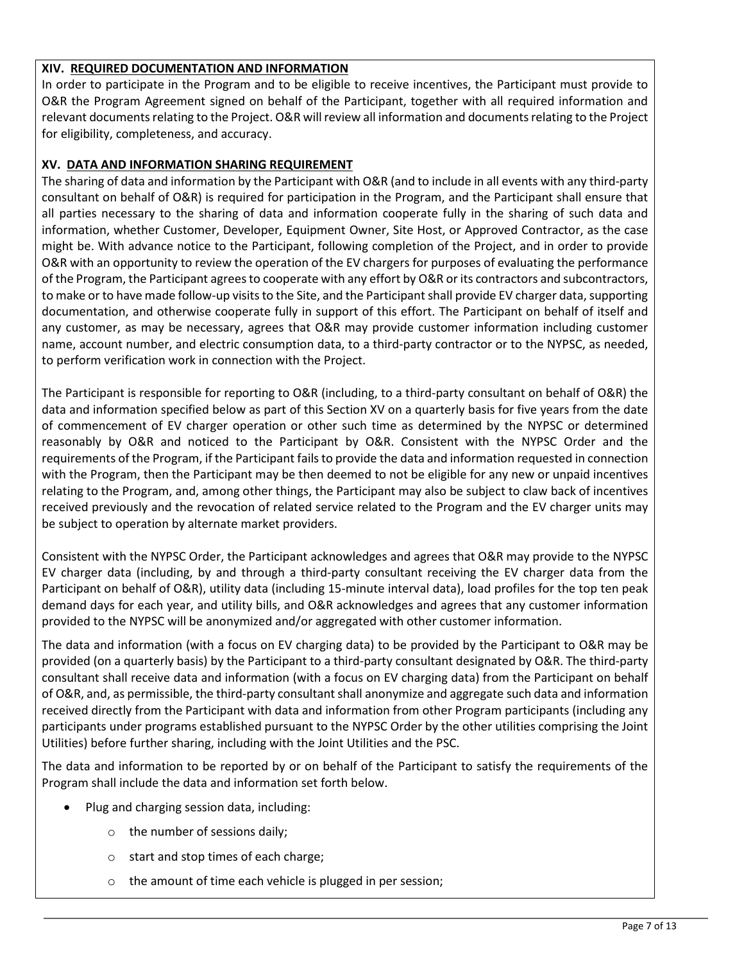# **XIV. REQUIRED DOCUMENTATION AND INFORMATION**

In order to participate in the Program and to be eligible to receive incentives, the Participant must provide to O&R the Program Agreement signed on behalf of the Participant, together with all required information and relevant documents relating to the Project. O&R will review all information and documents relating to the Project for eligibility, completeness, and accuracy.

## **XV. DATA AND INFORMATION SHARING REQUIREMENT**

The sharing of data and information by the Participant with O&R (and to include in all events with any third-party consultant on behalf of O&R) is required for participation in the Program, and the Participant shall ensure that all parties necessary to the sharing of data and information cooperate fully in the sharing of such data and information, whether Customer, Developer, Equipment Owner, Site Host, or Approved Contractor, as the case might be. With advance notice to the Participant, following completion of the Project, and in order to provide O&R with an opportunity to review the operation of the EV chargers for purposes of evaluating the performance of the Program, the Participant agrees to cooperate with any effort by O&R or its contractors and subcontractors, to make or to have made follow-up visits to the Site, and the Participant shall provide EV charger data, supporting documentation, and otherwise cooperate fully in support of this effort. The Participant on behalf of itself and any customer, as may be necessary, agrees that O&R may provide customer information including customer name, account number, and electric consumption data, to a third-party contractor or to the NYPSC, as needed, to perform verification work in connection with the Project.

The Participant is responsible for reporting to O&R (including, to a third-party consultant on behalf of O&R) the data and information specified below as part of this Section XV on a quarterly basis for five years from the date of commencement of EV charger operation or other such time as determined by the NYPSC or determined reasonably by O&R and noticed to the Participant by O&R. Consistent with the NYPSC Order and the requirements of the Program, if the Participant fails to provide the data and information requested in connection with the Program, then the Participant may be then deemed to not be eligible for any new or unpaid incentives relating to the Program, and, among other things, the Participant may also be subject to claw back of incentives received previously and the revocation of related service related to the Program and the EV charger units may be subject to operation by alternate market providers.

Consistent with the NYPSC Order, the Participant acknowledges and agrees that O&R may provide to the NYPSC EV charger data (including, by and through a third-party consultant receiving the EV charger data from the Participant on behalf of O&R), utility data (including 15-minute interval data), load profiles for the top ten peak demand days for each year, and utility bills, and O&R acknowledges and agrees that any customer information provided to the NYPSC will be anonymized and/or aggregated with other customer information.

The data and information (with a focus on EV charging data) to be provided by the Participant to O&R may be provided (on a quarterly basis) by the Participant to a third-party consultant designated by O&R. The third-party consultant shall receive data and information (with a focus on EV charging data) from the Participant on behalf of O&R, and, as permissible, the third-party consultant shall anonymize and aggregate such data and information received directly from the Participant with data and information from other Program participants (including any participants under programs established pursuant to the NYPSC Order by the other utilities comprising the Joint Utilities) before further sharing, including with the Joint Utilities and the PSC.

The data and information to be reported by or on behalf of the Participant to satisfy the requirements of the Program shall include the data and information set forth below.

- Plug and charging session data, including:
	- o the number of sessions daily;
	- o start and stop times of each charge;
	- o the amount of time each vehicle is plugged in per session;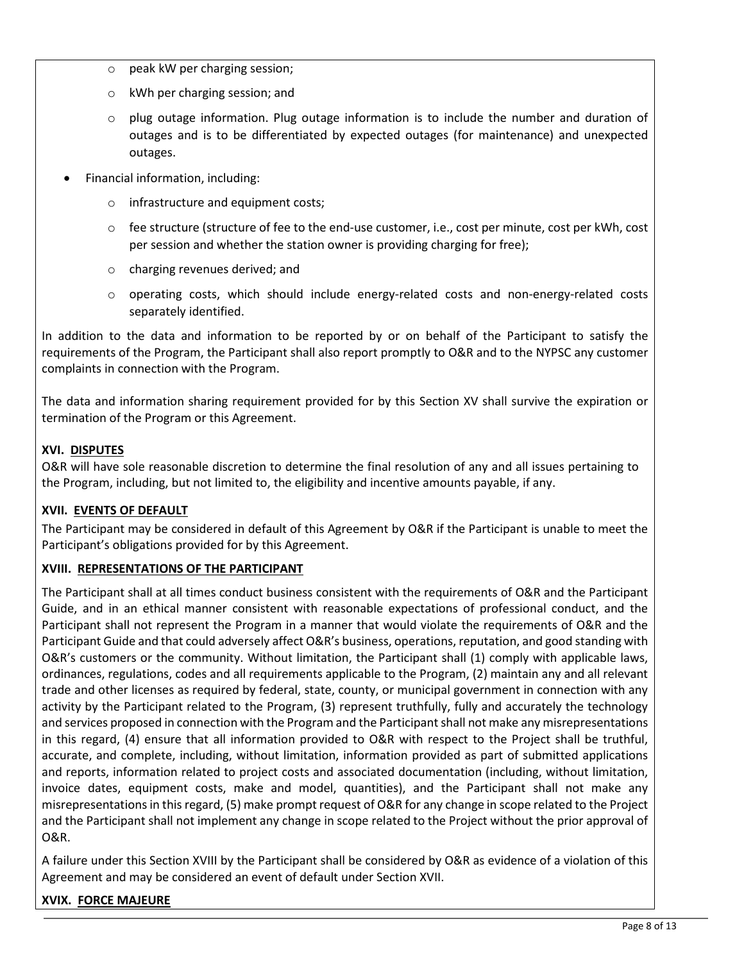- o peak kW per charging session;
- o kWh per charging session; and
- $\circ$  plug outage information. Plug outage information is to include the number and duration of outages and is to be differentiated by expected outages (for maintenance) and unexpected outages.
- Financial information, including:
	- o infrastructure and equipment costs;
	- o fee structure (structure of fee to the end-use customer, i.e., cost per minute, cost per kWh, cost per session and whether the station owner is providing charging for free);
	- o charging revenues derived; and
	- o operating costs, which should include energy-related costs and non-energy-related costs separately identified.

In addition to the data and information to be reported by or on behalf of the Participant to satisfy the requirements of the Program, the Participant shall also report promptly to O&R and to the NYPSC any customer complaints in connection with the Program.

The data and information sharing requirement provided for by this Section XV shall survive the expiration or termination of the Program or this Agreement.

# **XVI. DISPUTES**

O&R will have sole reasonable discretion to determine the final resolution of any and all issues pertaining to the Program, including, but not limited to, the eligibility and incentive amounts payable, if any.

# **XVII. EVENTS OF DEFAULT**

The Participant may be considered in default of this Agreement by O&R if the Participant is unable to meet the Participant's obligations provided for by this Agreement.

# **XVIII. REPRESENTATIONS OF THE PARTICIPANT**

The Participant shall at all times conduct business consistent with the requirements of O&R and the Participant Guide, and in an ethical manner consistent with reasonable expectations of professional conduct, and the Participant shall not represent the Program in a manner that would violate the requirements of O&R and the Participant Guide and that could adversely affect O&R's business, operations, reputation, and good standing with O&R's customers or the community. Without limitation, the Participant shall (1) comply with applicable laws, ordinances, regulations, codes and all requirements applicable to the Program, (2) maintain any and all relevant trade and other licenses as required by federal, state, county, or municipal government in connection with any activity by the Participant related to the Program, (3) represent truthfully, fully and accurately the technology and services proposed in connection with the Program and the Participant shall not make any misrepresentations in this regard, (4) ensure that all information provided to O&R with respect to the Project shall be truthful, accurate, and complete, including, without limitation, information provided as part of submitted applications and reports, information related to project costs and associated documentation (including, without limitation, invoice dates, equipment costs, make and model, quantities), and the Participant shall not make any misrepresentations in this regard, (5) make prompt request of O&R for any change in scope related to the Project and the Participant shall not implement any change in scope related to the Project without the prior approval of O&R.

A failure under this Section XVIII by the Participant shall be considered by O&R as evidence of a violation of this Agreement and may be considered an event of default under Section XVII.

# **XVIX. FORCE MAJEURE**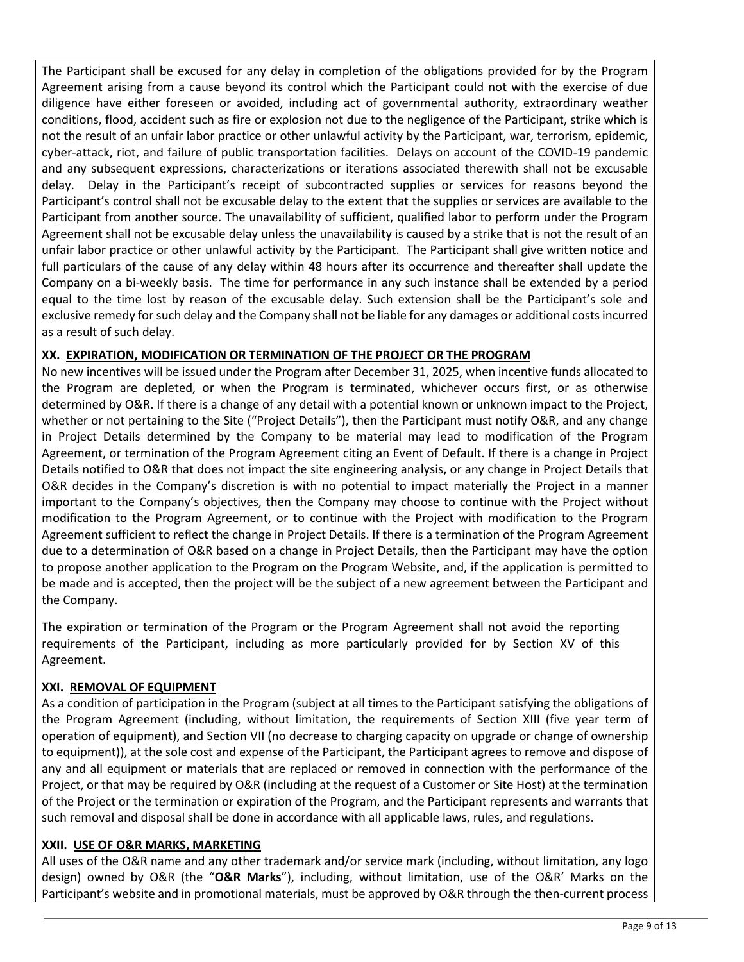The Participant shall be excused for any delay in completion of the obligations provided for by the Program Agreement arising from a cause beyond its control which the Participant could not with the exercise of due diligence have either foreseen or avoided, including act of governmental authority, extraordinary weather conditions, flood, accident such as fire or explosion not due to the negligence of the Participant, strike which is not the result of an unfair labor practice or other unlawful activity by the Participant, war, terrorism, epidemic, cyber-attack, riot, and failure of public transportation facilities. Delays on account of the COVID-19 pandemic and any subsequent expressions, characterizations or iterations associated therewith shall not be excusable delay. Delay in the Participant's receipt of subcontracted supplies or services for reasons beyond the Participant's control shall not be excusable delay to the extent that the supplies or services are available to the Participant from another source. The unavailability of sufficient, qualified labor to perform under the Program Agreement shall not be excusable delay unless the unavailability is caused by a strike that is not the result of an unfair labor practice or other unlawful activity by the Participant. The Participant shall give written notice and full particulars of the cause of any delay within 48 hours after its occurrence and thereafter shall update the Company on a bi-weekly basis. The time for performance in any such instance shall be extended by a period equal to the time lost by reason of the excusable delay. Such extension shall be the Participant's sole and exclusive remedy for such delay and the Company shall not be liable for any damages or additional costs incurred as a result of such delay.

# **XX. EXPIRATION, MODIFICATION OR TERMINATION OF THE PROJECT OR THE PROGRAM**

No new incentives will be issued under the Program after December 31, 2025, when incentive funds allocated to the Program are depleted, or when the Program is terminated, whichever occurs first, or as otherwise determined by O&R. If there is a change of any detail with a potential known or unknown impact to the Project, whether or not pertaining to the Site ("Project Details"), then the Participant must notify O&R, and any change in Project Details determined by the Company to be material may lead to modification of the Program Agreement, or termination of the Program Agreement citing an Event of Default. If there is a change in Project Details notified to O&R that does not impact the site engineering analysis, or any change in Project Details that O&R decides in the Company's discretion is with no potential to impact materially the Project in a manner important to the Company's objectives, then the Company may choose to continue with the Project without modification to the Program Agreement, or to continue with the Project with modification to the Program Agreement sufficient to reflect the change in Project Details. If there is a termination of the Program Agreement due to a determination of O&R based on a change in Project Details, then the Participant may have the option to propose another application to the Program on the Program Website, and, if the application is permitted to be made and is accepted, then the project will be the subject of a new agreement between the Participant and the Company.

The expiration or termination of the Program or the Program Agreement shall not avoid the reporting requirements of the Participant, including as more particularly provided for by Section XV of this Agreement.

### **XXI. REMOVAL OF EQUIPMENT**

As a condition of participation in the Program (subject at all times to the Participant satisfying the obligations of the Program Agreement (including, without limitation, the requirements of Section XIII (five year term of operation of equipment), and Section VII (no decrease to charging capacity on upgrade or change of ownership to equipment)), at the sole cost and expense of the Participant, the Participant agrees to remove and dispose of any and all equipment or materials that are replaced or removed in connection with the performance of the Project, or that may be required by O&R (including at the request of a Customer or Site Host) at the termination of the Project or the termination or expiration of the Program, and the Participant represents and warrants that such removal and disposal shall be done in accordance with all applicable laws, rules, and regulations.

### **XXII. USE OF O&R MARKS, MARKETING**

All uses of the O&R name and any other trademark and/or service mark (including, without limitation, any logo design) owned by O&R (the "**O&R Marks**"), including, without limitation, use of the O&R' Marks on the Participant's website and in promotional materials, must be approved by O&R through the then-current process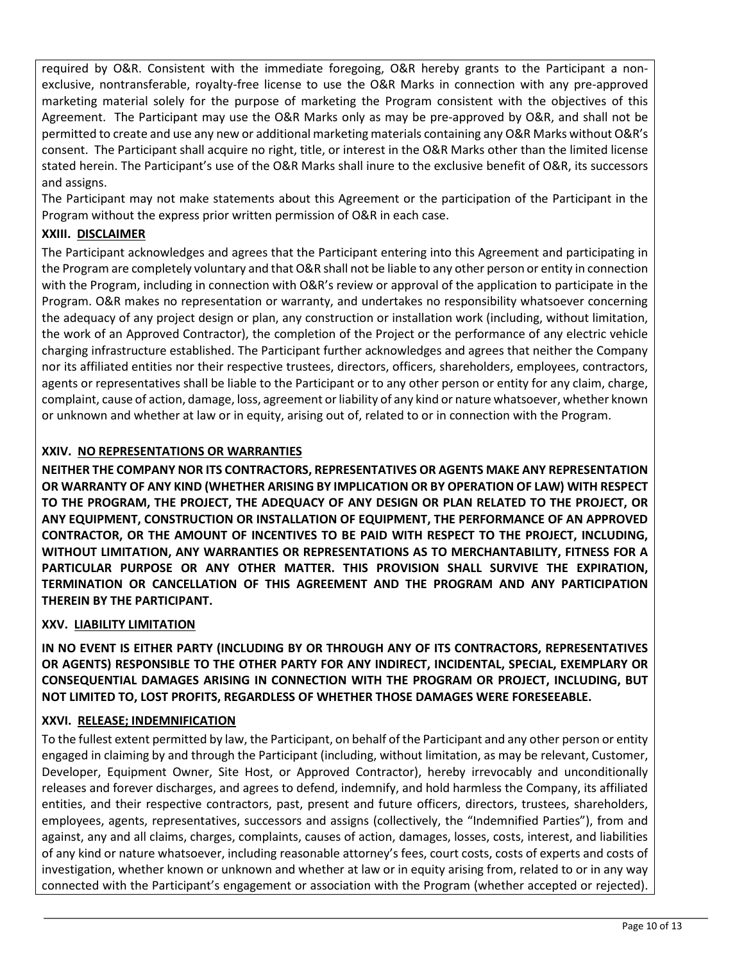required by O&R. Consistent with the immediate foregoing, O&R hereby grants to the Participant a nonexclusive, nontransferable, royalty-free license to use the O&R Marks in connection with any pre-approved marketing material solely for the purpose of marketing the Program consistent with the objectives of this Agreement. The Participant may use the O&R Marks only as may be pre-approved by O&R, and shall not be permitted to create and use any new or additional marketing materials containing any O&R Marks without O&R's consent. The Participant shall acquire no right, title, or interest in the O&R Marks other than the limited license stated herein. The Participant's use of the O&R Marks shall inure to the exclusive benefit of O&R, its successors and assigns.

The Participant may not make statements about this Agreement or the participation of the Participant in the Program without the express prior written permission of O&R in each case.

## **XXIII. DISCLAIMER**

The Participant acknowledges and agrees that the Participant entering into this Agreement and participating in the Program are completely voluntary and that O&R shall not be liable to any other person or entity in connection with the Program, including in connection with O&R's review or approval of the application to participate in the Program. O&R makes no representation or warranty, and undertakes no responsibility whatsoever concerning the adequacy of any project design or plan, any construction or installation work (including, without limitation, the work of an Approved Contractor), the completion of the Project or the performance of any electric vehicle charging infrastructure established. The Participant further acknowledges and agrees that neither the Company nor its affiliated entities nor their respective trustees, directors, officers, shareholders, employees, contractors, agents or representatives shall be liable to the Participant or to any other person or entity for any claim, charge, complaint, cause of action, damage, loss, agreement or liability of any kind or nature whatsoever, whether known or unknown and whether at law or in equity, arising out of, related to or in connection with the Program.

## **XXIV. NO REPRESENTATIONS OR WARRANTIES**

**NEITHER THE COMPANY NOR ITS CONTRACTORS, REPRESENTATIVES OR AGENTS MAKE ANY REPRESENTATION OR WARRANTY OF ANY KIND (WHETHER ARISING BY IMPLICATION OR BY OPERATION OF LAW) WITH RESPECT TO THE PROGRAM, THE PROJECT, THE ADEQUACY OF ANY DESIGN OR PLAN RELATED TO THE PROJECT, OR ANY EQUIPMENT, CONSTRUCTION OR INSTALLATION OF EQUIPMENT, THE PERFORMANCE OF AN APPROVED CONTRACTOR, OR THE AMOUNT OF INCENTIVES TO BE PAID WITH RESPECT TO THE PROJECT, INCLUDING, WITHOUT LIMITATION, ANY WARRANTIES OR REPRESENTATIONS AS TO MERCHANTABILITY, FITNESS FOR A PARTICULAR PURPOSE OR ANY OTHER MATTER. THIS PROVISION SHALL SURVIVE THE EXPIRATION, TERMINATION OR CANCELLATION OF THIS AGREEMENT AND THE PROGRAM AND ANY PARTICIPATION THEREIN BY THE PARTICIPANT.**

### **XXV. LIABILITY LIMITATION**

**IN NO EVENT IS EITHER PARTY (INCLUDING BY OR THROUGH ANY OF ITS CONTRACTORS, REPRESENTATIVES OR AGENTS) RESPONSIBLE TO THE OTHER PARTY FOR ANY INDIRECT, INCIDENTAL, SPECIAL, EXEMPLARY OR CONSEQUENTIAL DAMAGES ARISING IN CONNECTION WITH THE PROGRAM OR PROJECT, INCLUDING, BUT NOT LIMITED TO, LOST PROFITS, REGARDLESS OF WHETHER THOSE DAMAGES WERE FORESEEABLE.**

# **XXVI. RELEASE; INDEMNIFICATION**

To the fullest extent permitted by law, the Participant, on behalf of the Participant and any other person or entity engaged in claiming by and through the Participant (including, without limitation, as may be relevant, Customer, Developer, Equipment Owner, Site Host, or Approved Contractor), hereby irrevocably and unconditionally releases and forever discharges, and agrees to defend, indemnify, and hold harmless the Company, its affiliated entities, and their respective contractors, past, present and future officers, directors, trustees, shareholders, employees, agents, representatives, successors and assigns (collectively, the "Indemnified Parties"), from and against, any and all claims, charges, complaints, causes of action, damages, losses, costs, interest, and liabilities of any kind or nature whatsoever, including reasonable attorney's fees, court costs, costs of experts and costs of investigation, whether known or unknown and whether at law or in equity arising from, related to or in any way connected with the Participant's engagement or association with the Program (whether accepted or rejected).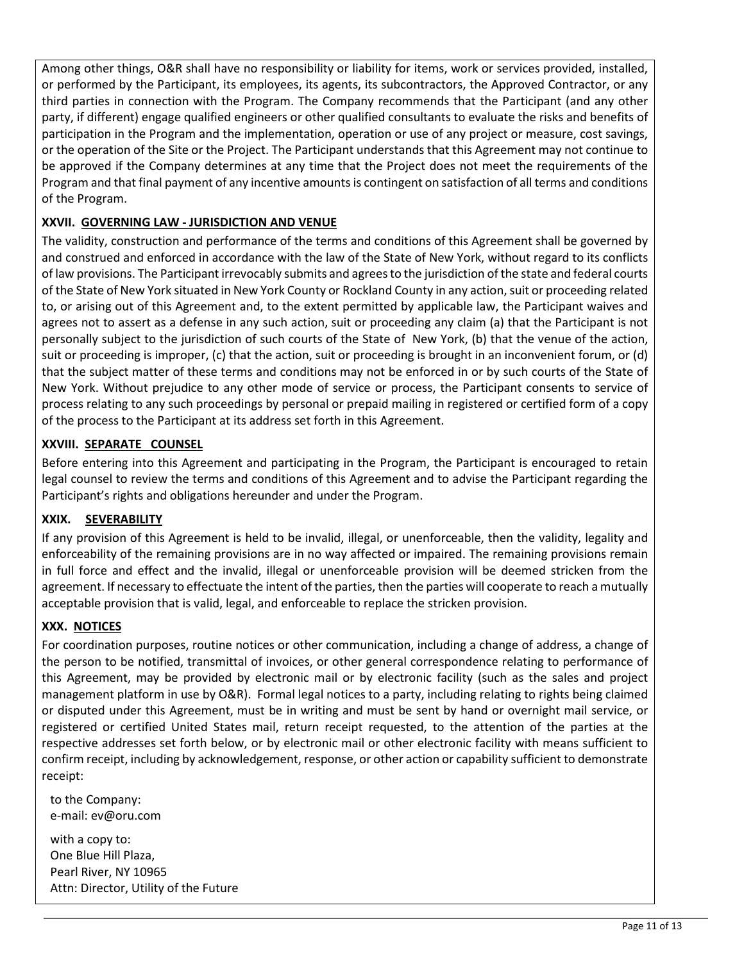Among other things, O&R shall have no responsibility or liability for items, work or services provided, installed, or performed by the Participant, its employees, its agents, its subcontractors, the Approved Contractor, or any third parties in connection with the Program. The Company recommends that the Participant (and any other party, if different) engage qualified engineers or other qualified consultants to evaluate the risks and benefits of participation in the Program and the implementation, operation or use of any project or measure, cost savings, or the operation of the Site or the Project. The Participant understands that this Agreement may not continue to be approved if the Company determines at any time that the Project does not meet the requirements of the Program and that final payment of any incentive amounts is contingent on satisfaction of all terms and conditions of the Program.

# **XXVII. GOVERNING LAW - JURISDICTION AND VENUE**

The validity, construction and performance of the terms and conditions of this Agreement shall be governed by and construed and enforced in accordance with the law of the State of New York, without regard to its conflicts of law provisions. The Participant irrevocably submits and agrees to the jurisdiction of the state and federal courts of the State of New York situated in New York County or Rockland County in any action, suit or proceeding related to, or arising out of this Agreement and, to the extent permitted by applicable law, the Participant waives and agrees not to assert as a defense in any such action, suit or proceeding any claim (a) that the Participant is not personally subject to the jurisdiction of such courts of the State of New York, (b) that the venue of the action, suit or proceeding is improper, (c) that the action, suit or proceeding is brought in an inconvenient forum, or (d) that the subject matter of these terms and conditions may not be enforced in or by such courts of the State of New York. Without prejudice to any other mode of service or process, the Participant consents to service of process relating to any such proceedings by personal or prepaid mailing in registered or certified form of a copy of the process to the Participant at its address set forth in this Agreement.

## **XXVIII. SEPARATE COUNSEL**

Before entering into this Agreement and participating in the Program, the Participant is encouraged to retain legal counsel to review the terms and conditions of this Agreement and to advise the Participant regarding the Participant's rights and obligations hereunder and under the Program.

### **XXIX. SEVERABILITY**

If any provision of this Agreement is held to be invalid, illegal, or unenforceable, then the validity, legality and enforceability of the remaining provisions are in no way affected or impaired. The remaining provisions remain in full force and effect and the invalid, illegal or unenforceable provision will be deemed stricken from the agreement. If necessary to effectuate the intent of the parties, then the parties will cooperate to reach a mutually acceptable provision that is valid, legal, and enforceable to replace the stricken provision.

### **XXX. NOTICES**

For coordination purposes, routine notices or other communication, including a change of address, a change of the person to be notified, transmittal of invoices, or other general correspondence relating to performance of this Agreement, may be provided by electronic mail or by electronic facility (such as the sales and project management platform in use by O&R). Formal legal notices to a party, including relating to rights being claimed or disputed under this Agreement, must be in writing and must be sent by hand or overnight mail service, or registered or certified United States mail, return receipt requested, to the attention of the parties at the respective addresses set forth below, or by electronic mail or other electronic facility with means sufficient to confirm receipt, including by acknowledgement, response, or other action or capability sufficient to demonstrate receipt:

to the Company: e-mail: ev@oru.com

with a copy to: One Blue Hill Plaza, Pearl River, NY 10965 Attn: Director, Utility of the Future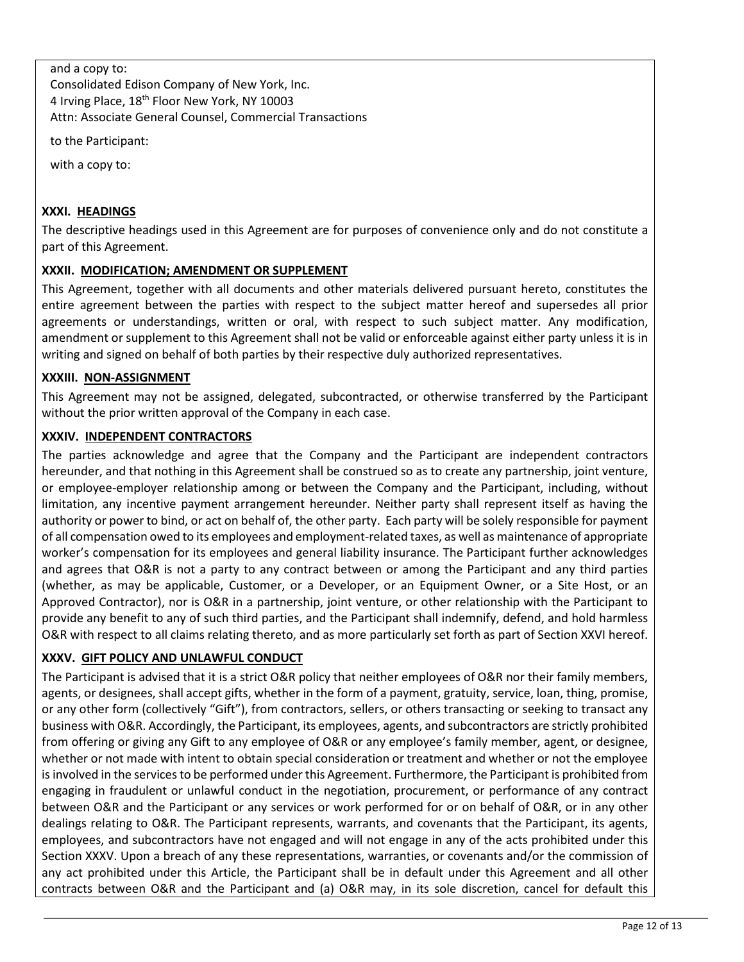## and a copy to:

Consolidated Edison Company of New York, Inc. 4 Irving Place, 18<sup>th</sup> Floor New York, NY 10003 Attn: Associate General Counsel, Commercial Transactions

to the Participant:

with a copy to:

# **XXXI. HEADINGS**

The descriptive headings used in this Agreement are for purposes of convenience only and do not constitute a part of this Agreement.

## **XXXII. MODIFICATION; AMENDMENT OR SUPPLEMENT**

This Agreement, together with all documents and other materials delivered pursuant hereto, constitutes the entire agreement between the parties with respect to the subject matter hereof and supersedes all prior agreements or understandings, written or oral, with respect to such subject matter. Any modification, amendment or supplement to this Agreement shall not be valid or enforceable against either party unless it is in writing and signed on behalf of both parties by their respective duly authorized representatives.

## **XXXIII. NON-ASSIGNMENT**

This Agreement may not be assigned, delegated, subcontracted, or otherwise transferred by the Participant without the prior written approval of the Company in each case.

## **XXXIV. INDEPENDENT CONTRACTORS**

The parties acknowledge and agree that the Company and the Participant are independent contractors hereunder, and that nothing in this Agreement shall be construed so as to create any partnership, joint venture, or employee-employer relationship among or between the Company and the Participant, including, without limitation, any incentive payment arrangement hereunder. Neither party shall represent itself as having the authority or power to bind, or act on behalf of, the other party. Each party will be solely responsible for payment of all compensation owed to its employees and employment-related taxes, as well as maintenance of appropriate worker's compensation for its employees and general liability insurance. The Participant further acknowledges and agrees that O&R is not a party to any contract between or among the Participant and any third parties (whether, as may be applicable, Customer, or a Developer, or an Equipment Owner, or a Site Host, or an Approved Contractor), nor is O&R in a partnership, joint venture, or other relationship with the Participant to provide any benefit to any of such third parties, and the Participant shall indemnify, defend, and hold harmless O&R with respect to all claims relating thereto, and as more particularly set forth as part of Section XXVI hereof.

# **XXXV. GIFT POLICY AND UNLAWFUL CONDUCT**

The Participant is advised that it is a strict O&R policy that neither employees of O&R nor their family members, agents, or designees, shall accept gifts, whether in the form of a payment, gratuity, service, loan, thing, promise, or any other form (collectively "Gift"), from contractors, sellers, or others transacting or seeking to transact any business with O&R. Accordingly, the Participant, its employees, agents, and subcontractors are strictly prohibited from offering or giving any Gift to any employee of O&R or any employee's family member, agent, or designee, whether or not made with intent to obtain special consideration or treatment and whether or not the employee is involved in the services to be performed under this Agreement. Furthermore, the Participant is prohibited from engaging in fraudulent or unlawful conduct in the negotiation, procurement, or performance of any contract between O&R and the Participant or any services or work performed for or on behalf of O&R, or in any other dealings relating to O&R. The Participant represents, warrants, and covenants that the Participant, its agents, employees, and subcontractors have not engaged and will not engage in any of the acts prohibited under this Section XXXV. Upon a breach of any these representations, warranties, or covenants and/or the commission of any act prohibited under this Article, the Participant shall be in default under this Agreement and all other contracts between O&R and the Participant and (a) O&R may, in its sole discretion, cancel for default this